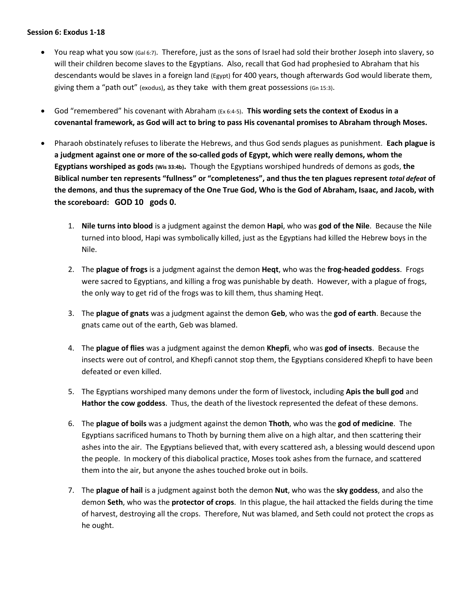## **Session 6: Exodus 1-18**

- You reap what you sow (Gal 6:7). Therefore, just as the sons of Israel had sold their brother Joseph into slavery, so will their children become slaves to the Egyptians. Also, recall that God had prophesied to Abraham that his descendants would be slaves in a foreign land (Egypt) for 400 years, though afterwards God would liberate them, giving them a "path out" (exodus), as they take with them great possessions (Gn 15:3).
- God "remembered" his covenant with Abraham (Ex 6:4-5). **This wording sets the context of Exodus in a covenantal framework, as God will act to bring to pass His covenantal promises to Abraham through Moses.**
- Pharaoh obstinately refuses to liberate the Hebrews, and thus God sends plagues as punishment. **Each plague is a judgment against one or more of the so-called gods of Egypt, which were really demons, whom the Egyptians worshiped as gods (Wis 33:4b).** Though the Egyptians worshiped hundreds of demons as gods, **the Biblical number ten represents "fullness" or "completeness", and thus the ten plagues represent** *total defeat* **of the demons**, **and thus the supremacy of the One True God, Who is the God of Abraham, Isaac, and Jacob, with the scoreboard: GOD 10 gods 0.**
	- 1. **Nile turns into blood** is a judgment against the demon **Hapi**, who was **god of the Nile**. Because the Nile turned into blood, Hapi was symbolically killed, just as the Egyptians had killed the Hebrew boys in the Nile.
	- 2. The **plague of frogs** is a judgment against the demon **Heqt**, who was the **frog-headed goddess**. Frogs were sacred to Egyptians, and killing a frog was punishable by death. However, with a plague of frogs, the only way to get rid of the frogs was to kill them, thus shaming Heqt.
	- 3. The **plague of gnats** was a judgment against the demon **Geb**, who was the **god of earth**. Because the gnats came out of the earth, Geb was blamed.
	- 4. The **plague of flies** was a judgment against the demon **Khepfi**, who was **god of insects**. Because the insects were out of control, and Khepfi cannot stop them, the Egyptians considered Khepfi to have been defeated or even killed.
	- 5. The Egyptians worshiped many demons under the form of livestock, including **Apis the bull god** and **Hathor the cow goddess**. Thus, the death of the livestock represented the defeat of these demons.
	- 6. The **plague of boils** was a judgment against the demon **Thoth**, who was the **god of medicine**. The Egyptians sacrificed humans to Thoth by burning them alive on a high altar, and then scattering their ashes into the air. The Egyptians believed that, with every scattered ash, a blessing would descend upon the people. In mockery of this diabolical practice, Moses took ashes from the furnace, and scattered them into the air, but anyone the ashes touched broke out in boils.
	- 7. The **plague of hail** is a judgment against both the demon **Nut**, who was the **sky goddess**, and also the demon **Seth**, who was the **protector of crops**. In this plague, the hail attacked the fields during the time of harvest, destroying all the crops. Therefore, Nut was blamed, and Seth could not protect the crops as he ought.